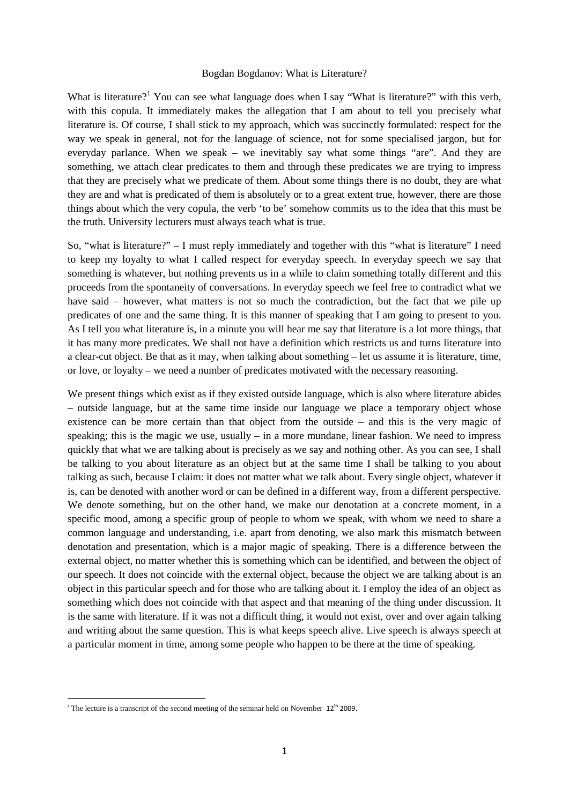## Bogdan Bogdanov: What is Literature?

What is literature?<sup>[1](#page-0-0)</sup> You can see what language does when I say "What is literature?" with this verb, with this copula. It immediately makes the allegation that I am about to tell you precisely what literature is. Of course, I shall stick to my approach, which was succinctly formulated: respect for the way we speak in general, not for the language of science, not for some specialised jargon, but for everyday parlance. When we speak – we inevitably say what some things "are". And they are something, we attach clear predicates to them and through these predicates we are trying to impress that they are precisely what we predicate of them. About some things there is no doubt, they are what they are and what is predicated of them is absolutely or to a great extent true, however, there are those things about which the very copula, the verb 'to be' somehow commits us to the idea that this must be the truth. University lecturers must always teach what is true.

So, "what is literature?" – I must reply immediately and together with this "what is literature" I need to keep my loyalty to what I called respect for everyday speech. In everyday speech we say that something is whatever, but nothing prevents us in a while to claim something totally different and this proceeds from the spontaneity of conversations. In everyday speech we feel free to contradict what we have said – however, what matters is not so much the contradiction, but the fact that we pile up predicates of one and the same thing. It is this manner of speaking that I am going to present to you. As I tell you what literature is, in a minute you will hear me say that literature is a lot more things, that it has many more predicates. We shall not have a definition which restricts us and turns literature into a clear-cut object. Be that as it may, when talking about something – let us assume it is literature, time, or love, or loyalty – we need a number of predicates motivated with the necessary reasoning.

We present things which exist as if they existed outside language, which is also where literature abides – outside language, but at the same time inside our language we place a temporary object whose existence can be more certain than that object from the outside – and this is the very magic of speaking; this is the magic we use, usually  $-$  in a more mundane, linear fashion. We need to impress quickly that what we are talking about is precisely as we say and nothing other. As you can see, I shall be talking to you about literature as an object but at the same time I shall be talking to you about talking as such, because I claim: it does not matter what we talk about. Every single object, whatever it is, can be denoted with another word or can be defined in a different way, from a different perspective. We denote something, but on the other hand, we make our denotation at a concrete moment, in a specific mood, among a specific group of people to whom we speak, with whom we need to share a common language and understanding, i.e. apart from denoting, we also mark this mismatch between denotation and presentation, which is a major magic of speaking. There is a difference between the external object, no matter whether this is something which can be identified, and between the object of our speech. It does not coincide with the external object, because the object we are talking about is an object in this particular speech and for those who are talking about it. I employ the idea of an object as something which does not coincide with that aspect and that meaning of the thing under discussion. It is the same with literature. If it was not a difficult thing, it would not exist, over and over again talking and writing about the same question. This is what keeps speech alive. Live speech is always speech at a particular moment in time, among some people who happen to be there at the time of speaking.

 $\ddot{\phantom{a}}$ 

<span id="page-0-0"></span><sup>&</sup>lt;sup>1</sup> The lecture is a transcript of the second meeting of the seminar held on November  $12<sup>th</sup>$  2009.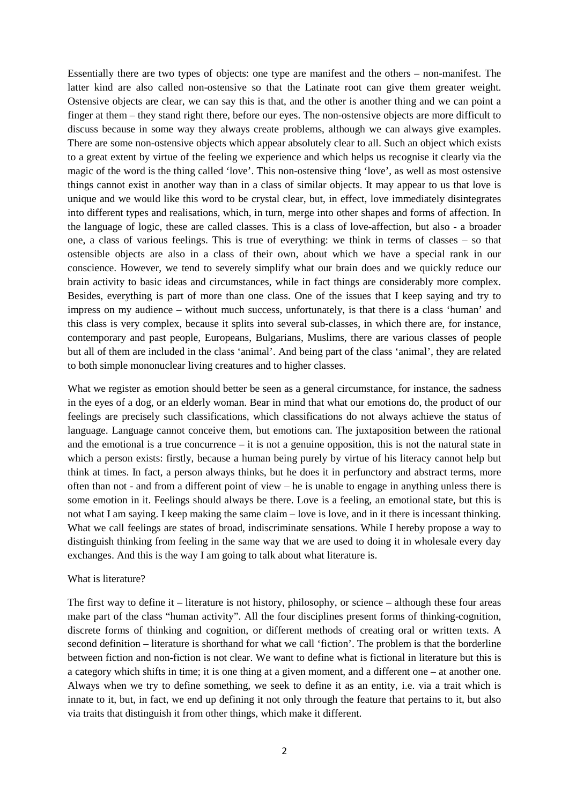Essentially there are two types of objects: one type are manifest and the others – non-manifest. The latter kind are also called non-ostensive so that the Latinate root can give them greater weight. Ostensive objects are clear, we can say this is that, and the other is another thing and we can point a finger at them – they stand right there, before our eyes. The non-ostensive objects are more difficult to discuss because in some way they always create problems, although we can always give examples. There are some non-ostensive objects which appear absolutely clear to all. Such an object which exists to a great extent by virtue of the feeling we experience and which helps us recognise it clearly via the magic of the word is the thing called 'love'. This non-ostensive thing 'love', as well as most ostensive things cannot exist in another way than in a class of similar objects. It may appear to us that love is unique and we would like this word to be crystal clear, but, in effect, love immediately disintegrates into different types and realisations, which, in turn, merge into other shapes and forms of affection. In the language of logic, these are called classes. This is a class of love-affection, but also - a broader one, a class of various feelings. This is true of everything: we think in terms of classes – so that ostensible objects are also in a class of their own, about which we have a special rank in our conscience. However, we tend to severely simplify what our brain does and we quickly reduce our brain activity to basic ideas and circumstances, while in fact things are considerably more complex. Besides, everything is part of more than one class. One of the issues that I keep saying and try to impress on my audience – without much success, unfortunately, is that there is a class 'human' and this class is very complex, because it splits into several sub-classes, in which there are, for instance, contemporary and past people, Europeans, Bulgarians, Muslims, there are various classes of people but all of them are included in the class 'animal'. And being part of the class 'animal', they are related to both simple mononuclear living creatures and to higher classes.

What we register as emotion should better be seen as a general circumstance, for instance, the sadness in the eyes of a dog, or an elderly woman. Bear in mind that what our emotions do, the product of our feelings are precisely such classifications, which classifications do not always achieve the status of language. Language cannot conceive them, but emotions can. The juxtaposition between the rational and the emotional is a true concurrence – it is not a genuine opposition, this is not the natural state in which a person exists: firstly, because a human being purely by virtue of his literacy cannot help but think at times. In fact, a person always thinks, but he does it in perfunctory and abstract terms, more often than not - and from a different point of view – he is unable to engage in anything unless there is some emotion in it. Feelings should always be there. Love is a feeling, an emotional state, but this is not what I am saying. I keep making the same claim – love is love, and in it there is incessant thinking. What we call feelings are states of broad, indiscriminate sensations. While I hereby propose a way to distinguish thinking from feeling in the same way that we are used to doing it in wholesale every day exchanges. And this is the way I am going to talk about what literature is.

## What is literature?

The first way to define it – literature is not history, philosophy, or science – although these four areas make part of the class "human activity". All the four disciplines present forms of thinking-cognition, discrete forms of thinking and cognition, or different methods of creating oral or written texts. A second definition – literature is shorthand for what we call 'fiction'. The problem is that the borderline between fiction and non-fiction is not clear. We want to define what is fictional in literature but this is a category which shifts in time; it is one thing at a given moment, and a different one – at another one. Always when we try to define something, we seek to define it as an entity, i.e. via a trait which is innate to it, but, in fact, we end up defining it not only through the feature that pertains to it, but also via traits that distinguish it from other things, which make it different.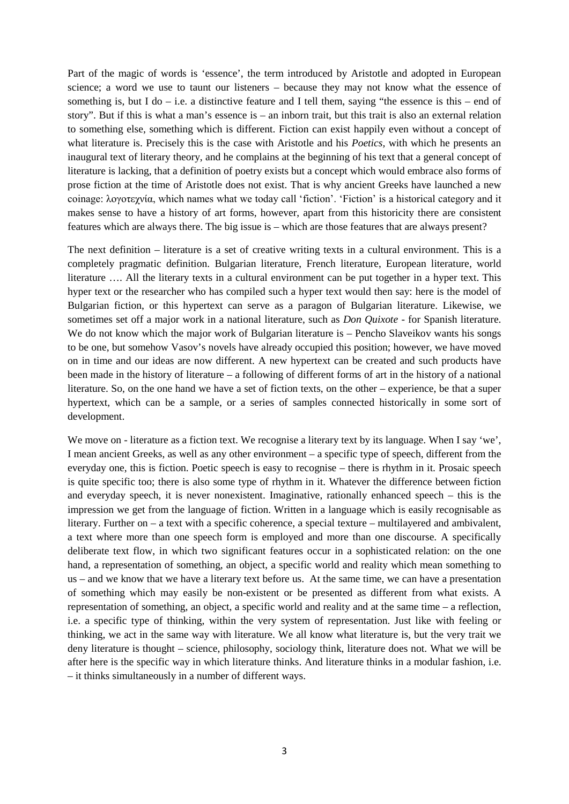Part of the magic of words is 'essence', the term introduced by Aristotle and adopted in European science; a word we use to taunt our listeners – because they may not know what the essence of something is, but I do  $-$  i.e. a distinctive feature and I tell them, saying "the essence is this  $-$  end of story". But if this is what a man's essence is – an inborn trait, but this trait is also an external relation to something else, something which is different. Fiction can exist happily even without a concept of what literature is. Precisely this is the case with Aristotle and his *Poetics,* with which he presents an inaugural text of literary theory, and he complains at the beginning of his text that a general concept of literature is lacking, that a definition of poetry exists but a concept which would embrace also forms of prose fiction at the time of Aristotle does not exist. That is why ancient Greeks have launched a new coinage: λογοτεχνία, which names what we today call 'fiction'. 'Fiction' is a historical category and it makes sense to have a history of art forms, however, apart from this historicity there are consistent features which are always there. The big issue is – which are those features that are always present?

The next definition – literature is a set of creative writing texts in a cultural environment. This is a completely pragmatic definition. Bulgarian literature, French literature, European literature, world literature …. All the literary texts in a cultural environment can be put together in a hyper text. This hyper text or the researcher who has compiled such a hyper text would then say: here is the model of Bulgarian fiction, or this hypertext can serve as a paragon of Bulgarian literature. Likewise, we sometimes set off a major work in a national literature, such as *Don Quixote* - for Spanish literature. We do not know which the major work of Bulgarian literature is – Pencho Slaveikov wants his songs to be one, but somehow Vasov's novels have already occupied this position; however, we have moved on in time and our ideas are now different. A new hypertext can be created and such products have been made in the history of literature – a following of different forms of art in the history of a national literature. So, on the one hand we have a set of fiction texts, on the other – experience, be that a super hypertext, which can be a sample, or a series of samples connected historically in some sort of development.

We move on - literature as a fiction text. We recognise a literary text by its language. When I say 'we', I mean ancient Greeks, as well as any other environment – a specific type of speech, different from the everyday one, this is fiction. Poetic speech is easy to recognise – there is rhythm in it. Prosaic speech is quite specific too; there is also some type of rhythm in it. Whatever the difference between fiction and everyday speech, it is never nonexistent. Imaginative, rationally enhanced speech – this is the impression we get from the language of fiction. Written in a language which is easily recognisable as literary. Further on – a text with a specific coherence, a special texture – multilayered and ambivalent, a text where more than one speech form is employed and more than one discourse. A specifically deliberate text flow, in which two significant features occur in a sophisticated relation: on the one hand, a representation of something, an object, a specific world and reality which mean something to us – and we know that we have a literary text before us. At the same time, we can have a presentation of something which may easily be non-existent or be presented as different from what exists. A representation of something, an object, a specific world and reality and at the same time – a reflection, i.e. a specific type of thinking, within the very system of representation. Just like with feeling or thinking, we act in the same way with literature. We all know what literature is, but the very trait we deny literature is thought – science, philosophy, sociology think, literature does not. What we will be after here is the specific way in which literature thinks. And literature thinks in a modular fashion, i.e. – it thinks simultaneously in a number of different ways.